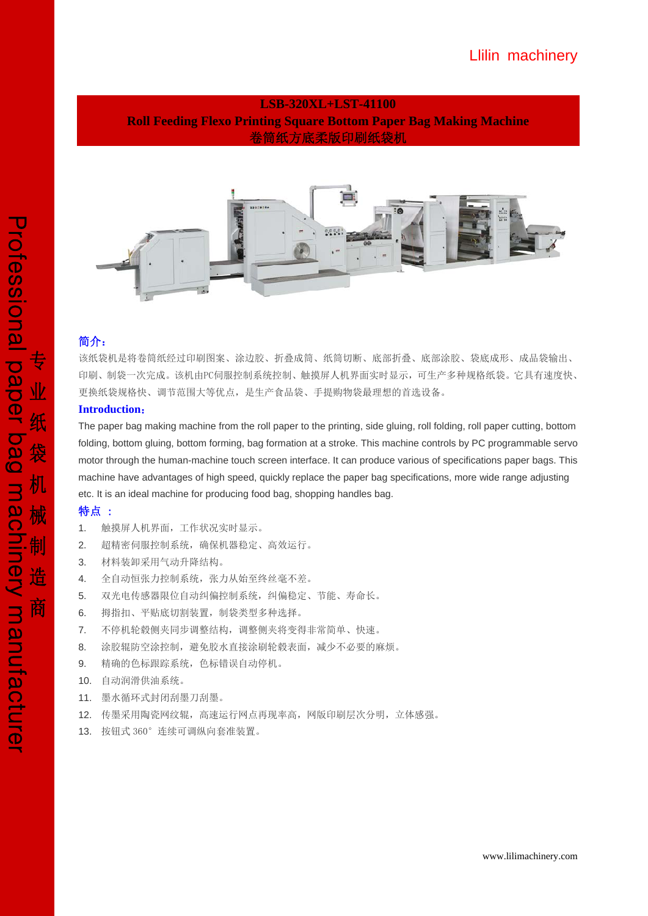## Llilin machinery

## **LSB-320XL+LST-41100 Roll Feeding Flexo Printing Square Bottom Paper Bag Making Machine**  卷筒纸方底柔版印刷纸袋机



### 简介:

该纸袋机是将卷筒纸经过印刷图案、涂边胶、折叠成筒、纸筒切断、底部折叠、底部涂胶、袋底成形、成品袋输出、 印刷、制袋一次完成。该机由PC伺服控制系统控制、触摸屏人机界面实时显示,可生产多种规格纸袋。它具有速度快、 更换纸袋规格快、调节范围大等优点,是生产食品袋、手提购物袋最理想的首选设备。

### **Introduction**:

The paper bag making machine from the roll paper to the printing, side gluing, roll folding, roll paper cutting, bottom folding, bottom gluing, bottom forming, bag formation at a stroke. This machine controls by PC programmable servo motor through the human-machine touch screen interface. It can produce various of specifications paper bags. This machine have advantages of high speed, quickly replace the paper bag specifications, more wide range adjusting etc. It is an ideal machine for producing food bag, shopping handles bag.

## 特点 :

- 1. 触摸屏人机界面,工作状况实时显示。
- 2. 超精密伺服控制系统,确保机器稳定、高效运行。
- 3. 材料装卸采用气动升降结构。
- 4. 全自动恒张力控制系统,张力从始至终丝毫不差。
- 5. 双光电传感器限位自动纠偏控制系统,纠偏稳定、节能、寿命长。
- 6. 拇指扣、平贴底切割装置,制袋类型多种选择。
- 7. 不停机轮毂侧夹同步调整结构,调整侧夹将变得非常简单、快速。
- 8. 涂胶辊防空涂控制,避免胶水直接涂刷轮毂表面,减少不必要的麻烦。
- 9. 精确的色标跟踪系统,色标错误自动停机。
- 10. 自动润滑供油系统。
- 11. 墨水循环式封闭刮墨刀刮墨。
- 12. 传墨采用陶瓷网纹辊,高速运行网点再现率高,网版印刷层次分明,立体感强。
- 13. 按钮式 360°连续可调纵向套准装置。